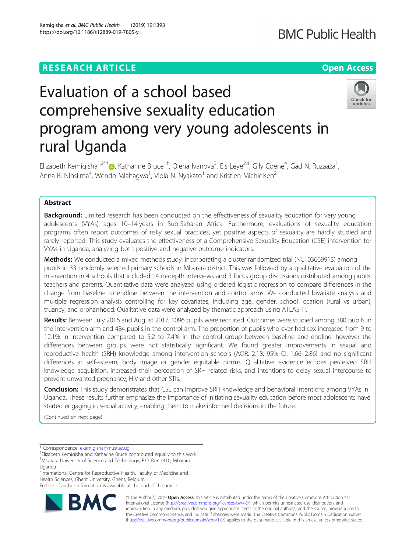https://doi.org/10.1186/s12889-019-7805-y

Kemigisha et al. BMC Public Health (2019) 19:1393

Check for updates

# Evaluation of a school based comprehensive sexuality education program among very young adolescents in rural Uganda

Elizabeth Kemigisha<sup>1,2\*[†](http://orcid.org/0000-0001-9137-8014)</sup>®, Katharine Bruce<sup>1†</sup>, Olena Ivanova<sup>3</sup>, Els Leye<sup>2,4</sup>, Gily Coene<sup>4</sup>, Gad N. Ruzaaza<sup>1</sup> , Anna B. Ninsiima<sup>4</sup>, Wendo Mlahagwa<sup>1</sup>, Viola N. Nyakato<sup>1</sup> and Kristien Michielsen<sup>2</sup>

# Abstract

**Background:** Limited research has been conducted on the effectiveness of sexuality education for very young adolescents (VYAs) ages 10–14 years in Sub-Saharan Africa. Furthermore, evaluations of sexuality education programs often report outcomes of risky sexual practices, yet positive aspects of sexuality are hardly studied and rarely reported. This study evaluates the effectiveness of a Comprehensive Sexuality Education (CSE) intervention for VYAs in Uganda, analyzing both positive and negative outcome indicators.

Methods: We conducted a mixed methods study, incorporating a cluster randomized trial (NCT03669913) among pupils in 33 randomly selected primary schools in Mbarara district. This was followed by a qualitative evaluation of the intervention in 4 schools that included 14 in-depth interviews and 3 focus group discussions distributed among pupils, teachers and parents. Quantitative data were analyzed using ordered logistic regression to compare differences in the change from baseline to endline between the intervention and control arms. We conducted bivariate analysis and multiple regression analysis controlling for key covariates, including age, gender, school location (rural vs urban), truancy, and orphanhood. Qualitative data were analyzed by thematic approach using ATLAS TI.

Results: Between July 2016 and August 2017, 1096 pupils were recruited. Outcomes were studied among 380 pupils in the intervention arm and 484 pupils in the control arm. The proportion of pupils who ever had sex increased from 9 to 12.1% in intervention compared to 5.2 to 7.4% in the control group between baseline and endline, however the differences between groups were not statistically significant. We found greater improvements in sexual and reproductive health (SRH) knowledge among intervention schools (AOR: 2.18, 95% CI: 1.66–2.86) and no significant differences in self-esteem, body image or gender equitable norms. Qualitative evidence echoes perceived SRH knowledge acquisition, increased their perception of SRH related risks, and intentions to delay sexual intercourse to prevent unwanted pregnancy, HIV and other STIs.

Conclusion: This study demonstrates that CSE can improve SRH knowledge and behavioral intentions among VYAs in Uganda. These results further emphasize the importance of initiating sexuality education before most adolescents have started engaging in sexual activity, enabling them to make informed decisions in the future.

(Continued on next page)

\* Correspondence: [ekemigisha@must.ac.ug](mailto:ekemigisha@must.ac.ug) †

<sup>2</sup>International Centre for Reproductive Health, Faculty of Medicine and Health Sciences, Ghent University, Ghent, Belgium

Full list of author information is available at the end of the article



© The Author(s). 2019 **Open Access** This article is distributed under the terms of the Creative Commons Attribution 4.0 International License [\(http://creativecommons.org/licenses/by/4.0/](http://creativecommons.org/licenses/by/4.0/)), which permits unrestricted use, distribution, and reproduction in any medium, provided you give appropriate credit to the original author(s) and the source, provide a link to the Creative Commons license, and indicate if changes were made. The Creative Commons Public Domain Dedication waiver [\(http://creativecommons.org/publicdomain/zero/1.0/](http://creativecommons.org/publicdomain/zero/1.0/)) applies to the data made available in this article, unless otherwise stated.

Elizabeth Kemigisha and Katharine Bruce contributed equally to this work. <sup>1</sup>Mbarara University of Science and Technology, P.O. Box 1410, Mbarara,

Uganda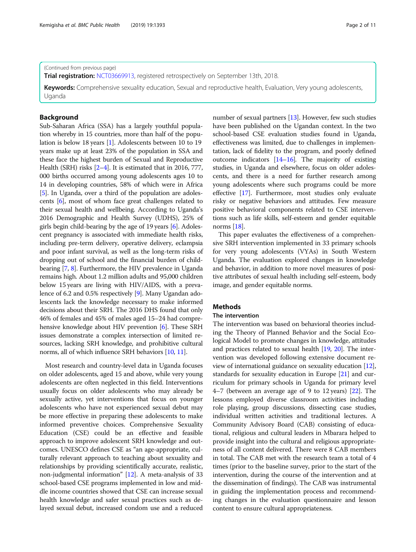### (Continued from previous page)

Trial registration: [NCT03669913](https://clinicaltrials.gov/ct2/show/NCT03669913), registered retrospectively on September 13th, 2018.

Keywords: Comprehensive sexuality education, Sexual and reproductive health, Evaluation, Very young adolescents, Uganda

# Background

Sub-Saharan Africa (SSA) has a largely youthful population whereby in 15 countries, more than half of the population is below 18 years [\[1](#page-9-0)]. Adolescents between 10 to 19 years make up at least 23% of the population in SSA and these face the highest burden of Sexual and Reproductive Health (SRH) risks [[2](#page-9-0)–[4](#page-9-0)]. It is estimated that in 2016, 777, 000 births occurred among young adolescents ages 10 to 14 in developing countries, 58% of which were in Africa [[5\]](#page-9-0). In Uganda, over a third of the population are adolescents [\[6](#page-9-0)], most of whom face great challenges related to their sexual health and wellbeing. According to Uganda's 2016 Demographic and Health Survey (UDHS), 25% of girls begin child-bearing by the age of 19 years [\[6\]](#page-9-0). Adolescent pregnancy is associated with immediate health risks, including pre-term delivery, operative delivery, eclampsia and poor infant survival, as well as the long-term risks of dropping out of school and the financial burden of childbearing [[7,](#page-9-0) [8](#page-9-0)]. Furthermore, the HIV prevalence in Uganda remains high. About 1.2 million adults and 95,000 children below 15 years are living with HIV/AIDS, with a prevalence of 6.2 and 0.5% respectively [[9](#page-9-0)]. Many Ugandan adolescents lack the knowledge necessary to make informed decisions about their SRH. The 2016 DHS found that only 46% of females and 45% of males aged 15–24 had comprehensive knowledge about HIV prevention [[6](#page-9-0)]. These SRH issues demonstrate a complex intersection of limited resources, lacking SRH knowledge, and prohibitive cultural norms, all of which influence SRH behaviors [\[10,](#page-9-0) [11](#page-9-0)].

Most research and country-level data in Uganda focuses on older adolescents, aged 15 and above, while very young adolescents are often neglected in this field. Interventions usually focus on older adolescents who may already be sexually active, yet interventions that focus on younger adolescents who have not experienced sexual debut may be more effective in preparing these adolescents to make informed preventive choices. Comprehensive Sexuality Education (CSE) could be an effective and feasible approach to improve adolescent SRH knowledge and outcomes. UNESCO defines CSE as "an age-appropriate, culturally relevant approach to teaching about sexuality and relationships by providing scientifically accurate, realistic, non-judgmental information" [\[12](#page-9-0)]. A meta-analysis of 33 school-based CSE programs implemented in low and middle income countries showed that CSE can increase sexual health knowledge and safer sexual practices such as delayed sexual debut, increased condom use and a reduced

number of sexual partners [\[13](#page-9-0)]. However, few such studies have been published on the Ugandan context. In the two school-based CSE evaluation studies found in Uganda, effectiveness was limited, due to challenges in implementation, lack of fidelity to the program, and poorly defined outcome indicators [\[14](#page-9-0)–[16](#page-10-0)]. The majority of existing studies, in Uganda and elsewhere, focus on older adolescents, and there is a need for further research among young adolescents where such programs could be more effective [\[17\]](#page-10-0). Furthermore, most studies only evaluate risky or negative behaviors and attitudes. Few measure positive behavioral components related to CSE interventions such as life skills, self-esteem and gender equitable norms [\[18\]](#page-10-0).

This paper evaluates the effectiveness of a comprehensive SRH intervention implemented in 33 primary schools for very young adolescents (VYAs) in South Western Uganda. The evaluation explored changes in knowledge and behavior, in addition to more novel measures of positive attributes of sexual health including self-esteem, body image, and gender equitable norms.

# Methods

# The intervention

The intervention was based on behavioral theories including the Theory of Planned Behavior and the Social Ecological Model to promote changes in knowledge, attitudes and practices related to sexual health [\[19,](#page-10-0) [20](#page-10-0)]. The intervention was developed following extensive document review of international guidance on sexuality education [[12](#page-9-0)], standards for sexuality education in Europe [[21](#page-10-0)] and curriculum for primary schools in Uganda for primary level 4–7 (between an average age of 9 to 12 years) [[22](#page-10-0)]. The lessons employed diverse classroom activities including role playing, group discussions, dissecting case studies, individual written activities and traditional lectures. A Community Advisory Board (CAB) consisting of educational, religious and cultural leaders in Mbarara helped to provide insight into the cultural and religious appropriateness of all content delivered. There were 8 CAB members in total. The CAB met with the research team a total of 4 times (prior to the baseline survey, prior to the start of the intervention, during the course of the intervention and at the dissemination of findings). The CAB was instrumental in guiding the implementation process and recommending changes in the evaluation questionnaire and lesson content to ensure cultural appropriateness.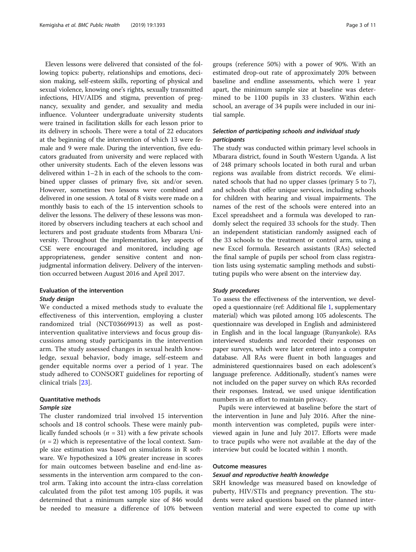Eleven lessons were delivered that consisted of the following topics: puberty, relationships and emotions, decision making, self-esteem skills, reporting of physical and sexual violence, knowing one's rights, sexually transmitted infections, HIV/AIDS and stigma, prevention of pregnancy, sexuality and gender, and sexuality and media influence. Volunteer undergraduate university students were trained in facilitation skills for each lesson prior to its delivery in schools. There were a total of 22 educators at the beginning of the intervention of which 13 were female and 9 were male. During the intervention, five educators graduated from university and were replaced with other university students. Each of the eleven lessons was delivered within 1–2 h in each of the schools to the combined upper classes of primary five, six and/or seven. However, sometimes two lessons were combined and delivered in one session. A total of 8 visits were made on a monthly basis to each of the 15 intervention schools to deliver the lessons. The delivery of these lessons was monitored by observers including teachers at each school and lecturers and post graduate students from Mbarara University. Throughout the implementation, key aspects of CSE were encouraged and monitored, including age appropriateness, gender sensitive content and nonjudgmental information delivery. Delivery of the intervention occurred between August 2016 and April 2017.

# Evaluation of the intervention Study design

We conducted a mixed methods study to evaluate the effectiveness of this intervention, employing a cluster randomized trial (NCT03669913) as well as postintervention qualitative interviews and focus group discussions among study participants in the intervention arm. The study assessed changes in sexual health knowledge, sexual behavior, body image, self-esteem and gender equitable norms over a period of 1 year. The study adhered to CONSORT guidelines for reporting of clinical trials [[23](#page-10-0)].

# Quantitative methods

# Sample size

The cluster randomized trial involved 15 intervention schools and 18 control schools. These were mainly publically funded schools ( $n = 31$ ) with a few private schools  $(n = 2)$  which is representative of the local context. Sample size estimation was based on simulations in R software. We hypothesized a 10% greater increase in scores for main outcomes between baseline and end-line assessments in the intervention arm compared to the control arm. Taking into account the intra-class correlation calculated from the pilot test among 105 pupils, it was determined that a minimum sample size of 846 would be needed to measure a difference of 10% between groups (reference 50%) with a power of 90%. With an estimated drop-out rate of approximately 20% between baseline and endline assessments, which were 1 year apart, the minimum sample size at baseline was determined to be 1100 pupils in 33 clusters. Within each school, an average of 34 pupils were included in our initial sample.

# Selection of participating schools and individual study participants

The study was conducted within primary level schools in Mbarara district, found in South Western Uganda. A list of 248 primary schools located in both rural and urban regions was available from district records. We eliminated schools that had no upper classes (primary 5 to 7), and schools that offer unique services, including schools for children with hearing and visual impairments. The names of the rest of the schools were entered into an Excel spreadsheet and a formula was developed to randomly select the required 33 schools for the study. Then an independent statistician randomly assigned each of the 33 schools to the treatment or control arm, using a new Excel formula. Research assistants (RAs) selected the final sample of pupils per school from class registration lists using systematic sampling methods and substituting pupils who were absent on the interview day.

# Study procedures

To assess the effectiveness of the intervention, we developed a questionnaire (ref: Additional file [1,](#page-9-0) supplementary material) which was piloted among 105 adolescents. The questionnaire was developed in English and administered in English and in the local language (Runyankole). RAs interviewed students and recorded their responses on paper surveys, which were later entered into a computer database. All RAs were fluent in both languages and administered questionnaires based on each adolescent's language preference. Additionally, student's names were not included on the paper survey on which RAs recorded their responses. Instead, we used unique identification numbers in an effort to maintain privacy.

Pupils were interviewed at baseline before the start of the intervention in June and July 2016. After the ninemonth intervention was completed, pupils were interviewed again in June and July 2017. Efforts were made to trace pupils who were not available at the day of the interview but could be located within 1 month.

# Outcome measures

# Sexual and reproductive health knowledge

SRH knowledge was measured based on knowledge of puberty, HIV/STIs and pregnancy prevention. The students were asked questions based on the planned intervention material and were expected to come up with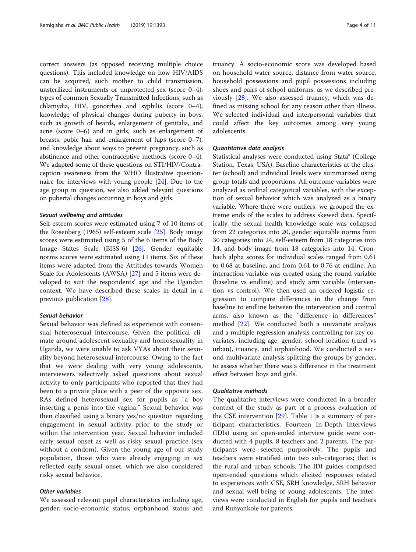correct answers (as opposed receiving multiple choice questions). This included knowledge on how HIV/AIDS can be acquired, such mother to child transmission, unsterilized instruments or unprotected sex (score 0–4), types of common Sexually Transmitted Infections, such as chlamydia, HIV, gonorrhea and syphilis (score 0–4), knowledge of physical changes during puberty in boys, such as growth of beards, enlargement of genitalia, and acne (score 0–6) and in girls, such as enlargement of breasts, pubic hair and enlargement of hips (score 0–7), and knowledge about ways to prevent pregnancy, such as abstinence and other contraceptive methods (score 0–4). We adapted some of these questions on STI/HIV/Contraception awareness from the WHO illustrative questionnaire for interviews with young people [[24](#page-10-0)]. Due to the age group in question, we also added relevant questions on pubertal changes occurring in boys and girls.

# Sexual wellbeing and attitudes

Self-esteem scores were estimated using 7 of 10 items of the Rosenberg (1965) self-esteem scale [[25\]](#page-10-0). Body image scores were estimated using 5 of the 6 items of the Body Image States Scale (BISS-6) [\[26\]](#page-10-0). Gender equitable norms scores were estimated using 11 items. Six of these items were adapted from the Attitudes towards Women Scale for Adolescents (AWSA) [\[27](#page-10-0)] and 5 items were developed to suit the respondents' age and the Ugandan context. We have described these scales in detail in a previous publication [\[28\]](#page-10-0).

# Sexual behavior

Sexual behavior was defined as experience with consensual heterosexual intercourse. Given the political climate around adolescent sexuality and homosexuality in Uganda, we were unable to ask VYAs about their sexuality beyond heterosexual intercourse. Owing to the fact that we were dealing with very young adolescents, interviewers selectively asked questions about sexual activity to only participants who reported that they had been to a private place with a peer of the opposite sex. RAs defined heterosexual sex for pupils as "a boy inserting a penis into the vagina." Sexual behavior was then classified using a binary yes/no question regarding engagement in sexual activity prior to the study or within the intervention year. Sexual behavior included early sexual onset as well as risky sexual practice (sex without a condom). Given the young age of our study population, those who were already engaging in sex reflected early sexual onset, which we also considered risky sexual behavior.

# Other variables

We assessed relevant pupil characteristics including age, gender, socio-economic status, orphanhood status and truancy. A socio-economic score was developed based on household water source, distance from water source, household possessions and pupil possessions including shoes and pairs of school uniforms, as we described previously [[28\]](#page-10-0). We also assessed truancy, which was defined as missing school for any reason other than illness. We selected individual and interpersonal variables that could affect the key outcomes among very young adolescents.

# Quantitative data analysis

Statistical analyses were conducted using Stata® (College Station, Texas, USA). Baseline characteristics at the cluster (school) and individual levels were summarized using group totals and proportions. All outcome variables were analyzed as ordinal categorical variables, with the exception of sexual behavior which was analyzed as a binary variable. Where there were outliers, we grouped the extreme ends of the scales to address skewed data. Specifically, the sexual health knowledge scale was collapsed from 22 categories into 20, gender equitable norms from 30 categories into 24, self-esteem from 18 categories into 14, and body image from 18 categories into 14. Cronbach alpha scores for individual scales ranged from 0.61 to 0.68 at baseline, and from 0.61 to 0.76 at endline. An interaction variable was created using the round variable (baseline vs endline) and study arm variable (intervention vs control). We then used an ordered logistic regression to compare differences in the change from baseline to endline between the intervention and control arms, also known as the "difference in differences" method [[22\]](#page-10-0). We conducted both a univariate analysis and a multiple regression analysis controlling for key covariates, including age, gender, school location (rural vs urban), truancy, and orphanhood. We conducted a second multivariate analysis splitting the groups by gender, to assess whether there was a difference in the treatment effect between boys and girls.

#### Qualitative methods

The qualitative interviews were conducted in a broader context of the study as part of a process evaluation of the CSE intervention  $[29]$ . Table [1](#page-4-0) is a summary of participant characteristics. Fourteen In-Depth Interviews (IDIs) using an open-ended interview guide were conducted with 4 pupils, 8 teachers and 2 parents. The participants were selected purposively. The pupils and teachers were stratified into two sub-categories; that is the rural and urban schools. The IDI guides comprised open-ended questions which elicited responses related to experiences with CSE, SRH knowledge, SRH behavior and sexual well-being of young adolescents. The interviews were conducted in English for pupils and teachers and Runyankole for parents.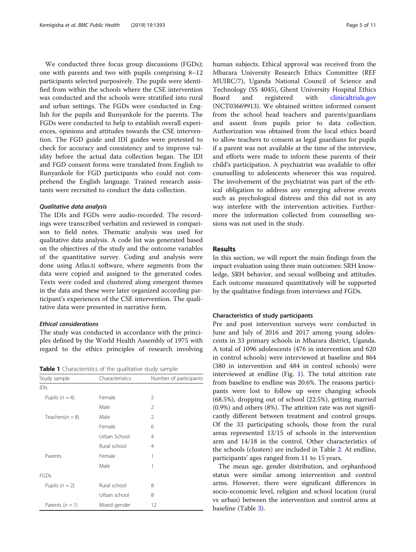<span id="page-4-0"></span>We conducted three focus group discussions (FGDs); one with parents and two with pupils comprising 8–12 participants selected purposively. The pupils were identified from within the schools where the CSE intervention was conducted and the schools were stratified into rural and urban settings. The FGDs were conducted in English for the pupils and Runyankole for the parents. The FGDs were conducted to help to establish overall experiences, opinions and attitudes towards the CSE intervention. The FGD guide and IDI guides were pretested to check for accuracy and consistency and to improve validity before the actual data collection began. The IDI and FGD consent forms were translated from English to Runyankole for FGD participants who could not comprehend the English language. Trained research assistants were recruited to conduct the data collection.

### Qualitative data analysis

The IDIs and FGDs were audio-recorded. The recordings were transcribed verbatim and reviewed in comparison to field notes. Thematic analysis was used for qualitative data analysis. A code list was generated based on the objectives of the study and the outcome variables of the quantitative survey. Coding and analysis were done using Atlas.ti software, where segments from the data were copied and assigned to the generated codes. Texts were coded and clustered along emergent themes in the data and these were later organized according participant's experiences of the CSE intervention. The qualitative data were presented in narrative form.

# Ethical considerations

The study was conducted in accordance with the principles defined by the World Health Assembly of 1975 with regard to the ethics principles of research involving

Table 1 Characteristics of the qualitative study sample

| Study sample        | Characteristics | Number of participants |
|---------------------|-----------------|------------------------|
| IDIS                |                 |                        |
| Pupils $(n = 4)$    | Female          | 2                      |
|                     | Male            | $\mathcal{P}$          |
| Teachers( $n = 8$ ) | Male            | 2                      |
|                     | Female          | 6                      |
|                     | Urban School    | 4                      |
|                     | Rural school    | 4                      |
| Parents             | Female          | 1                      |
|                     | Male            | 1                      |
| FGDs                |                 |                        |
| Pupils $(n = 2)$    | Rural school    | 8                      |
|                     | Urban school    | 8                      |
| Parents $(n = 1)$   | Mixed gender    | 12                     |

human subjects. Ethical approval was received from the Mbarara University Research Ethics Committee (REF MUIRC/7), Uganda National Council of Science and Technology (SS 4045), Ghent University Hospital Ethics Board and registered with [clinicaltrials.gov](http://clinicaltrials.gov) (NCT03669913). We obtained written informed consent from the school head teachers and parents/guardians and assent from pupils prior to data collection. Authorization was obtained from the local ethics board to allow teachers to consent as legal guardians for pupils if a parent was not available at the time of the interview, and efforts were made to inform these parents of their child's participation. A psychiatrist was available to offer counselling to adolescents whenever this was required. The involvement of the psychiatrist was part of the ethical obligation to address any emerging adverse events such as psychological distress and this did not in any way interfere with the intervention activities. Furthermore the information collected from counselling sessions was not used in the study.

#### Results

In this section, we will report the main findings from the impact evaluation using three main outcomes: SRH knowledge, SRH behavior, and sexual wellbeing and attitudes. Each outcome measured quantitatively will be supported by the qualitative findings from interviews and FGDs.

# Characteristics of study participants

Pre and post intervention surveys were conducted in June and July of 2016 and 2017 among young adolescents in 33 primary schools in Mbarara district, Uganda. A total of 1096 adolescents (476 in intervention and 620 in control schools) were interviewed at baseline and 864 (380 in intervention and 484 in control schools) were interviewed at endline (Fig. [1\)](#page-5-0). The total attrition rate from baseline to endline was 20.6%. The reasons participants were lost to follow up were changing schools (68.5%), dropping out of school (22.5%), getting married (0.9%) and others (8%). The attrition rate was not significantly different between treatment and control groups. Of the 33 participating schools, those from the rural areas represented 13/15 of schools in the intervention arm and 14/18 in the control. Other characteristics of the schools (clusters) are included in Table [2.](#page-5-0) At endline, participants' ages ranged from 11 to 15 years.

The mean age, gender distribution, and orphanhood status were similar among intervention and control arms. However, there were significant differences in socio-economic level, religion and school location (rural vs urban) between the intervention and control arms at baseline (Table [3](#page-6-0)).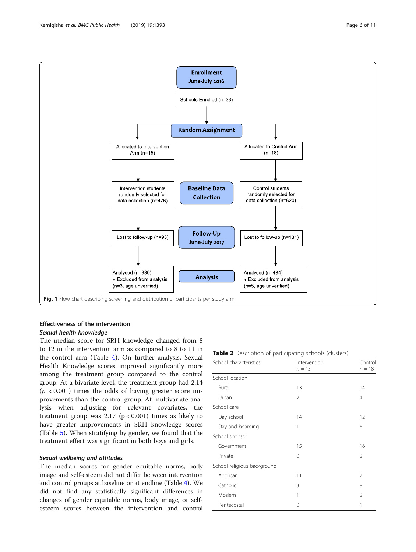Sexual health knowledge The median score for SRH knowledge changed from 8 to 12 in the intervention arm as compared to 8 to 11 in the control arm (Table [4](#page-6-0)). On further analysis, Sexual Health Knowledge scores improved significantly more among the treatment group compared to the control group. At a bivariate level, the treatment group had 2.14  $(p < 0.001)$  times the odds of having greater score improvements than the control group. At multivariate analysis when adjusting for relevant covariates, the treatment group was  $2.17$  ( $p < 0.001$ ) times as likely to have greater improvements in SRH knowledge scores (Table [5\)](#page-7-0). When stratifying by gender, we found that the treatment effect was significant in both boys and girls.

# Sexual wellbeing and attitudes

The median scores for gender equitable norms, body image and self-esteem did not differ between intervention and control groups at baseline or at endline (Table [4](#page-6-0)). We did not find any statistically significant differences in changes of gender equitable norms, body image, or selfesteem scores between the intervention and control

|  |  |  |  | Table 2 Description of participating schools (clusters) |  |  |
|--|--|--|--|---------------------------------------------------------|--|--|
|--|--|--|--|---------------------------------------------------------|--|--|

| School characteristics      | Intervention<br>$n = 15$ | Control<br>$n = 18$ |
|-----------------------------|--------------------------|---------------------|
| School location             |                          |                     |
| Rural                       | 13                       | 14                  |
| Urban                       | $\mathfrak{D}$           | $\overline{4}$      |
| School care                 |                          |                     |
| Day school                  | 14                       | 12                  |
| Day and boarding            | 1                        | 6                   |
| School sponsor              |                          |                     |
| Government                  | 15                       | 16                  |
| Private                     | $\Omega$                 | $\overline{2}$      |
| School religious background |                          |                     |
| Anglican                    | 11                       | 7                   |
| Catholic                    | 3                        | 8                   |
| Moslem                      | 1                        | $\mathfrak{D}$      |
| Pentecostal                 | $\Omega$                 | 1                   |

<span id="page-5-0"></span>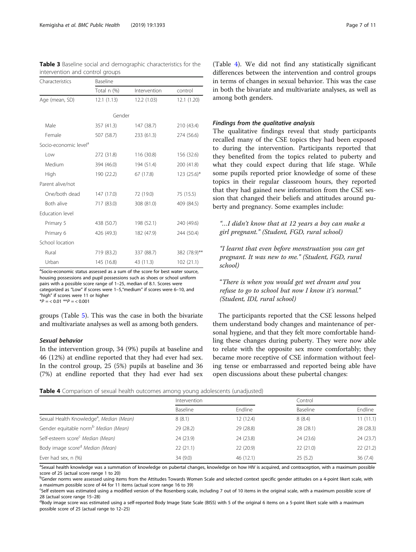| Characteristics                   | Baseline    |              |              |  |  |  |
|-----------------------------------|-------------|--------------|--------------|--|--|--|
|                                   | Total n (%) | Intervention | control      |  |  |  |
| Age (mean, SD)                    | 12.1(1.13)  | 12.2(1.03)   | 12.1 (1.20)  |  |  |  |
|                                   | Gender      |              |              |  |  |  |
|                                   |             |              |              |  |  |  |
| Male                              | 357 (41.3)  | 147 (38.7)   | 210 (43.4)   |  |  |  |
| Female                            | 507 (58.7)  | 233(61.3)    | 274 (56.6)   |  |  |  |
| Socio-economic level <sup>a</sup> |             |              |              |  |  |  |
| Low                               | 272 (31.8)  | 116 (30.8)   | 156 (32.6)   |  |  |  |
| Medium                            | 394 (46.0)  | 194 (51.4)   | 200 (41.8)   |  |  |  |
| High                              | 190 (22.2)  | 67 (17.8)    | 123 (25.6)*  |  |  |  |
| Parent alive/not                  |             |              |              |  |  |  |
| One/both dead                     | 147 (17.0)  | 72 (19.0)    | 75 (15.5)    |  |  |  |
| Both alive                        | 717 (83.0)  | 308 (81.0)   | 409 (84.5)   |  |  |  |
| Education level                   |             |              |              |  |  |  |
| Primary 5                         | 438 (50.7)  | 198 (52.1)   | 240 (49.6)   |  |  |  |
| Primary 6                         | 426 (49.3)  | 182 (47.9)   | 244 (50.4)   |  |  |  |
| School location                   |             |              |              |  |  |  |
| Rural                             | 719 (83.2)  | 337 (88.7)   | 382 (78.9)** |  |  |  |
| Urban                             | 145 (16.8)  | 43 (11.3)    | 102(21.1)    |  |  |  |

<span id="page-6-0"></span>Table 3 Baseline social and demographic characteristics for the intervention and control groups

<sup>a</sup>Socio-economic status assessed as a sum of the score for best water source, housing possessions and pupil possessions such as shoes or school uniform pairs with a possible score range of 1–25, median of 8.1. Scores were categorized as "Low" if scores were 1–5,"medium" if scores were 6–10, and "high" if scores were 11 or higher

 $*P = 0.01$   $*P = 0.001$ 

groups (Table [5\)](#page-7-0). This was the case in both the bivariate and multivariate analyses as well as among both genders.

### Sexual behavior

In the intervention group, 34 (9%) pupils at baseline and 46 (12%) at endline reported that they had ever had sex. In the control group, 25 (5%) pupils at baseline and 36 (7%) at endline reported that they had ever had sex

(Table 4). We did not find any statistically significant differences between the intervention and control groups in terms of changes in sexual behavior. This was the case in both the bivariate and multivariate analyses, as well as among both genders.

# Findings from the qualitative analysis

The qualitative findings reveal that study participants recalled many of the CSE topics they had been exposed to during the intervention. Participants reported that they benefited from the topics related to puberty and what they could expect during that life stage. While some pupils reported prior knowledge of some of these topics in their regular classroom hours, they reported that they had gained new information from the CSE session that changed their beliefs and attitudes around puberty and pregnancy. Some examples include:

"…I didn't know that at 12 years a boy can make a girl pregnant." (Student, FGD, rural school)

"I learnt that even before menstruation you can get pregnant. It was new to me." (Student, FGD, rural school)

"There is when you would get wet dream and you refuse to go to school but now I know it's normal." (Student, IDI, rural school)

The participants reported that the CSE lessons helped them understand body changes and maintenance of personal hygiene, and that they felt more comfortable handling these changes during puberty. They were now able to relate with the opposite sex more comfortably; they became more receptive of CSE information without feeling tense or embarrassed and reported being able have open discussions about these pubertal changes:

|  |  |  |  | Table 4 Comparison of sexual health outcomes among young adolescents (unadjusted) |  |  |
|--|--|--|--|-----------------------------------------------------------------------------------|--|--|
|--|--|--|--|-----------------------------------------------------------------------------------|--|--|

|                                                      | Intervention    |                | Control   |           |
|------------------------------------------------------|-----------------|----------------|-----------|-----------|
|                                                      | <b>Baseline</b> | <b>Endline</b> | Baseline  | Endline   |
| Sexual Health Knowledge <sup>a</sup> , Median (Mean) | 8(8.1)          | 12(12.4)       | 8(8.4)    | 11(11.1)  |
| Gender equitable norm <sup>b</sup> Median (Mean)     | 29 (28.2)       | 29 (28.8)      | 28 (28.1) | 28 (28.3) |
| Self-esteem score <sup>c</sup> Median (Mean)         | 24 (23.9)       | 24 (23.8)      | 24(23.6)  | 24 (23.7) |
| Body image score <sup>d</sup> Median (Mean)          | 22(21.1)        | 22(20.9)       | 22(21.0)  | 22(21.2)  |
| Ever had sex, n (%)                                  | 34(9.0)         | 46(12.1)       | 25(5.2)   | 36(7.4)   |

<sup>a</sup>Sexual health knowledge was a summation of knowledge on pubertal changes, knowledge on how HIV is acquired, and contraception, with a maximum possible score of 25 (actual score range 1 to 20)

b<br><sup>b</sup>Gender norms were assessed using items from the Attitudes Towards Women Scale and selected context specific gender attitudes on a 4-point likert scale, with a maximum possible score of 44 for 11 items (actual score range 16 to 39)

c Self esteem was estimated using a modified version of the Rosenberg scale, including 7 out of 10 items in the original scale, with a maximum possible score of 28 (actual score range 15–28)<br><sup>d</sup>Body image score was estimated using a self-reported Body Image State Scale (BISS) with 5 of the original 6 items on a 5-point likert scale with a maximum

possible score of 25 (actual range to 12–25)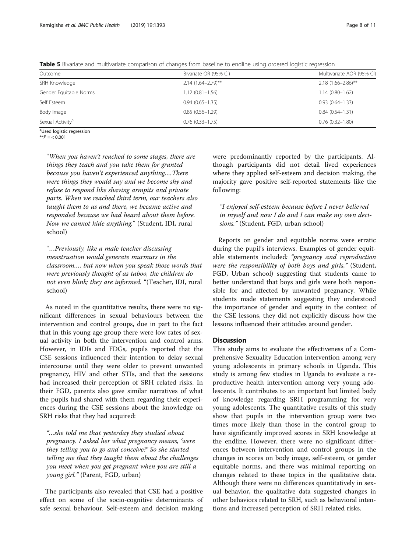<span id="page-7-0"></span>Table 5 Bivariate and multivariate comparison of changes from baseline to endline using ordered logistic regression

| Outcome                      | Bivariate OR (95% CI)  | Multivariate AOR (95% CI) |
|------------------------------|------------------------|---------------------------|
| SRH Knowledge                | $2.14(1.64 - 2.79)$ ** | $2.18(1.66 - 2.86)$ **    |
| Gender Equitable Norms       | $1.12(0.81 - 1.56)$    | $1.14(0.80 - 1.62)$       |
| Self Esteem                  | $0.94(0.65 - 1.35)$    | $0.93(0.64 - 1.33)$       |
| Body Image                   | $0.85(0.56 - 1.29)$    | $0.84(0.54 - 1.31)$       |
| Sexual Activity <sup>a</sup> | $0.76(0.33 - 1.75)$    | $0.76(0.32 - 1.80)$       |

<sup>a</sup>Used logistic regression

 $*^*P = 0.001$ 

"When you haven't reached to some stages, there are things they teach and you take them for granted because you haven't experienced anything….There were things they would say and we become shy and refuse to respond like shaving armpits and private parts. When we reached third term, our teachers also taught them to us and there, we became active and responded because we had heard about them before. Now we cannot hide anything." (Student, IDI, rural school)

"…Previously, like a male teacher discussing menstruation would generate murmurs in the classroom…. but now when you speak those words that were previously thought of as taboo, the children do not even blink; they are informed. "(Teacher, IDI, rural school)

As noted in the quantitative results, there were no significant differences in sexual behaviours between the intervention and control groups, due in part to the fact that in this young age group there were low rates of sexual activity in both the intervention and control arms. However, in IDIs and FDGs, pupils reported that the CSE sessions influenced their intention to delay sexual intercourse until they were older to prevent unwanted pregnancy, HIV and other STIs, and that the sessions had increased their perception of SRH related risks. In their FGD, parents also gave similar narratives of what the pupils had shared with them regarding their experiences during the CSE sessions about the knowledge on SRH risks that they had acquired:

"…she told me that yesterday they studied about pregnancy. I asked her what pregnancy means, 'were they telling you to go and conceive?' So she started telling me that they taught them about the challenges you meet when you get pregnant when you are still a young girl." (Parent, FGD, urban)

The participants also revealed that CSE had a positive effect on some of the socio-cognitive determinants of safe sexual behaviour. Self-esteem and decision making were predominantly reported by the participants. Although participants did not detail lived experiences where they applied self-esteem and decision making, the majority gave positive self-reported statements like the following:

"I enjoyed self-esteem because before I never believed in myself and now I do and I can make my own decisions." (Student, FGD, urban school)

Reports on gender and equitable norms were erratic during the pupil's interviews. Examples of gender equitable statements included: "pregnancy and reproduction were the responsibility of both boys and girls," (Student, FGD, Urban school) suggesting that students came to better understand that boys and girls were both responsible for and affected by unwanted pregnancy. While students made statements suggesting they understood the importance of gender and equity in the context of the CSE lessons, they did not explicitly discuss how the lessons influenced their attitudes around gender.

# **Discussion**

This study aims to evaluate the effectiveness of a Comprehensive Sexuality Education intervention among very young adolescents in primary schools in Uganda. This study is among few studies in Uganda to evaluate a reproductive health intervention among very young adolescents. It contributes to an important but limited body of knowledge regarding SRH programming for very young adolescents. The quantitative results of this study show that pupils in the intervention group were two times more likely than those in the control group to have significantly improved scores in SRH knowledge at the endline. However, there were no significant differences between intervention and control groups in the changes in scores on body image, self-esteem, or gender equitable norms, and there was minimal reporting on changes related to these topics in the qualitative data. Although there were no differences quantitatively in sexual behavior, the qualitative data suggested changes in other behaviors related to SRH, such as behavioral intentions and increased perception of SRH related risks.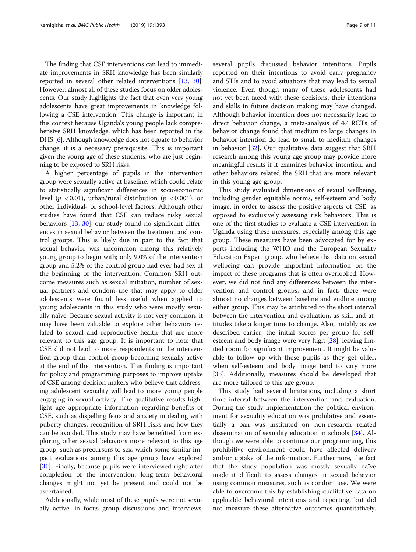The finding that CSE interventions can lead to immediate improvements in SRH knowledge has been similarly reported in several other related interventions [\[13,](#page-9-0) [30](#page-10-0)]. However, almost all of these studies focus on older adolescents. Our study highlights the fact that even very young adolescents have great improvements in knowledge following a CSE intervention. This change is important in this context because Uganda's young people lack comprehensive SRH knowledge, which has been reported in the DHS [[6\]](#page-9-0). Although knowledge does not equate to behavior change, it is a necessary prerequisite. This is important given the young age of these students, who are just beginning to be exposed to SRH risks.

A higher percentage of pupils in the intervention group were sexually active at baseline, which could relate to statistically significant differences in socioeconomic level ( $p < 0.01$ ), urban/rural distribution ( $p < 0.001$ ), or other individual- or school-level factors. Although other studies have found that CSE can reduce risky sexual behaviors [\[13,](#page-9-0) [30](#page-10-0)], our study found no significant differences in sexual behavior between the treatment and control groups. This is likely due in part to the fact that sexual behavior was uncommon among this relatively young group to begin with; only 9.0% of the intervention group and 5.2% of the control group had ever had sex at the beginning of the intervention. Common SRH outcome measures such as sexual initiation, number of sexual partners and condom use that may apply to older adolescents were found less useful when applied to young adolescents in this study who were mostly sexually naïve. Because sexual activity is not very common, it may have been valuable to explore other behaviors related to sexual and reproductive health that are more relevant to this age group. It is important to note that CSE did not lead to more respondents in the intervention group than control group becoming sexually active at the end of the intervention. This finding is important for policy and programming purposes to improve uptake of CSE among decision makers who believe that addressing adolescent sexuality will lead to more young people engaging in sexual activity. The qualitative results highlight age appropriate information regarding benefits of CSE, such as dispelling fears and anxiety in dealing with puberty changes, recognition of SRH risks and how they can be avoided. This study may have benefitted from exploring other sexual behaviors more relevant to this age group, such as precursors to sex, which some similar impact evaluations among this age group have explored [[31\]](#page-10-0). Finally, because pupils were interviewed right after completion of the intervention, long-term behavioral changes might not yet be present and could not be ascertained.

Additionally, while most of these pupils were not sexually active, in focus group discussions and interviews, several pupils discussed behavior intentions. Pupils reported on their intentions to avoid early pregnancy and STIs and to avoid situations that may lead to sexual violence. Even though many of these adolescents had not yet been faced with these decisions, their intentions and skills in future decision making may have changed. Although behavior intention does not necessarily lead to direct behavior change, a meta-analysis of 47 RCTs of behavior change found that medium to large changes in behavior intention do lead to small to medium changes in behavior [[32\]](#page-10-0). Our qualitative data suggest that SRH research among this young age group may provide more meaningful results if it examines behavior intention, and other behaviors related the SRH that are more relevant in this young age group.

This study evaluated dimensions of sexual wellbeing, including gender equitable norms, self-esteem and body image, in order to assess the positive aspects of CSE, as opposed to exclusively assessing risk behaviors. This is one of the first studies to evaluate a CSE intervention in Uganda using these measures, especially among this age group. These measures have been advocated for by experts including the WHO and the European Sexuality Education Expert group, who believe that data on sexual wellbeing can provide important information on the impact of these programs that is often overlooked. However, we did not find any differences between the intervention and control groups, and in fact, there were almost no changes between baseline and endline among either group. This may be attributed to the short interval between the intervention and evaluation, as skill and attitudes take a longer time to change. Also, notably as we described earlier, the initial scores per group for selfesteem and body image were very high [[28](#page-10-0)], leaving limited room for significant improvement. It might be valuable to follow up with these pupils as they get older, when self-esteem and body image tend to vary more [[33\]](#page-10-0). Additionally, measures should be developed that are more tailored to this age group.

This study had several limitations, including a short time interval between the intervention and evaluation. During the study implementation the political environment for sexuality education was prohibitive and essentially a ban was instituted on non-research related dissemination of sexuality education in schools [[34\]](#page-10-0). Although we were able to continue our programming, this prohibitive environment could have affected delivery and/or uptake of the information. Furthermore, the fact that the study population was mostly sexually naïve made it difficult to assess changes in sexual behavior using common measures, such as condom use. We were able to overcome this by establishing qualitative data on applicable behavioral intentions and reporting, but did not measure these alternative outcomes quantitatively.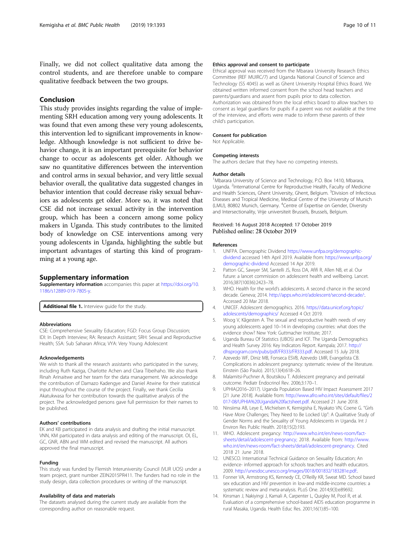<span id="page-9-0"></span>Finally, we did not collect qualitative data among the control students, and are therefore unable to compare qualitative feedback between the two groups.

# Conclusion

This study provides insights regarding the value of implementing SRH education among very young adolescents. It was found that even among these very young adolescents, this intervention led to significant improvements in knowledge. Although knowledge is not sufficient to drive behavior change, it is an important prerequisite for behavior change to occur as adolescents get older. Although we saw no quantitative differences between the intervention and control arms in sexual behavior, and very little sexual behavior overall, the qualitative data suggested changes in behavior intention that could decrease risky sexual behaviors as adolescents get older. More so, it was noted that CSE did not increase sexual activity in the intervention group, which has been a concern among some policy makers in Uganda. This study contributes to the limited body of knowledge on CSE interventions among very young adolescents in Uganda, highlighting the subtle but important advantages of starting this kind of programming at a young age.

#### Supplementary information

Supplementary information accompanies this paper at [https://doi.org/10.](https://doi.org/10.1186/s12889-019-7805-y) [1186/s12889-019-7805-y](https://doi.org/10.1186/s12889-019-7805-y).

Additional file 1. Interview guide for the study.

#### Abbreviations

CSE: Comprehensive Sexuality Education; FGD: Focus Group Discussion; IDI: In Depth Interview; RA: Research Assistant; SRH: Sexual and Reproductive Health; SSA: Sub Saharan Africa; VYA: Very Young Adolescent

#### Acknowledgements

We wish to thank all the research assistants who participated in the survey, including Ruth Kaziga, Charlotte Achen and Clara Tibeihaho. We also thank Rinah Arinaitwe and her team for the data management. We acknowledge the contribution of Damazo Kadengye and Daniel Atwine for their statistical input throughout the course of the project. Finally, we thank Cecilia Akatukwasa for her contribution towards the qualitative analysis of the project. The acknowledged persons gave full permission for their names to be published.

#### Authors' contributions

EK and KB participated in data analysis and drafting the initial manuscript. VNN, KM participated in data analysis and editing of the manuscript. OI, EL, GC, GNR, ABN and WM edited and revised the manuscript. All authors approved the final manuscript.

#### Funding

This study was funded by Flemish Interuniversity Council (VLIR UOS) under a team project, grant number ZEIN2015PR411. The funders had no role in the study design, data collection procedures or writing of the manuscript.

#### Availability of data and materials

The datasets analysed during the current study are available from the corresponding author on reasonable request.

#### Ethics approval and consent to participate

Ethical approval was received from the Mbarara University Research Ethics Committee (REF MUIRC/7) and Uganda National Council of Science and Technology (SS 4045) as well as Ghent University Hospital Ethics Board. We obtained written informed consent from the school head teachers and parents/guardians and assent from pupils prior to data collection. Authorization was obtained from the local ethics board to allow teachers to consent as legal guardians for pupils if a parent was not available at the time of the interview, and efforts were made to inform these parents of their child's participation.

#### Consent for publication

Not Applicable.

#### Competing interests

The authors declare that they have no competing interests.

#### Author details

<sup>1</sup>Mbarara University of Science and Technology, P.O. Box 1410, Mbarara, Uganda. <sup>2</sup>International Centre for Reproductive Health, Faculty of Medicine and Health Sciences, Ghent University, Ghent, Belgium. <sup>3</sup>Division of Infectious Diseases and Tropical Medicine, Medical Centre of the University of Munich (LMU), 80802 Munich, Germany. <sup>4</sup>Centre of Expertise on Gender, Diversity and Intersectionality, Vrije universiteit Brussels, Brussels, Belgium.

# Received: 16 August 2018 Accepted: 17 October 2019 Published online: 28 October 2019

#### References

- 1. UNFPA. Demographic Dividend [https://www.unfpa.org/demographic](https://www.unfpa.org/demographic-dividend)[dividend](https://www.unfpa.org/demographic-dividend) accessed 14th April 2019. Available from: [https://www.unfpa.org/](https://www.unfpa.org/demographic-dividend) [demographic-dividend](https://www.unfpa.org/demographic-dividend) Accessed 14 Apr 2019.
- 2. Patton GC, Sawyer SM, Santelli JS, Ross DA, Afifi R, Allen NB, et al. Our future: a lancet commission on adolescent health and wellbeing. Lancet. 2016;387(10036):2423–78.
- 3. WHO. Health for the world's adolescents. A second chance in the second decade. Geneva; 2014. <http://apps.who.int/adolescent/second-decade/:>. Accessed 20 Mar 2018.
- 4. UNICEF. Adolescent demographics. 2016. [https://data.unicef.org/topic/](https://data.unicef.org/topic/adolescents/demographics/) [adolescents/demographics/](https://data.unicef.org/topic/adolescents/demographics/) Accessed 4 Oct 2019.
- 5. Woog V, Kågesten A. The sexual and reproductive health needs of very young adolescents aged 10–14 in developing countries: what does the evidence show? New York: Guttmacher Institute; 2017.
- 6. Uganda Bureau Of Statistics (UBOS) and ICF. The Uganda Demographics and Health Survey 2016: Key Indicators Report. Kampala; 2017. [http://](http://dhsprogram.com/pubs/pdf/FR333/FR333.pdf) [dhsprogram.com/pubs/pdf/FR333/FR333.pdf.](http://dhsprogram.com/pubs/pdf/FR333/FR333.pdf) Accessed 15 July 2018.
- 7. Azevedo WF, Diniz MB, Fonseca ESVB, Azevedo LMR, Evangelista CB. Complications in adolescent pregnancy: systematic review of the literature. Einstein (São Paulo). 2015;13(4):618–26.
- 8. Malamitsi-Puchner A, Boutsikou T. Adolescent pregnancy and perinatal outcome. Pediatr Endocrinol Rev. 2006;3:170–1.
- 9. UPHIA(2016–2017). Uganda Population Based HIV Impact Assessment 2017 [21 June 2018]. Available from: [http://www.afro.who.int/sites/default/files/2](http://www.afro.who.int/sites/default/files/2017-08/UPHIA%20Uganda%20factsheet.pdf) [017-08/UPHIA%20Uganda%20factsheet.pdf](http://www.afro.who.int/sites/default/files/2017-08/UPHIA%20Uganda%20factsheet.pdf). Accessed 21 June 2018.
- 10. Ninsiima AB, Leye E, Michielsen K, Kemigisha E, Nyakato VN, Coene G. "Girls Have More Challenges; They Need to Be Locked Up": A Qualitative Study of Gender Norms and the Sexuality of Young Adolescents in Uganda. Int J Environ Res Public Health. 2018;15(2):193.
- 11. WHO. Adolescent pregancy: [http://www.who.int/en/news-room/fact](http://www.who.int/en/news-room/fact-sheets/detail/adolescent-pregnancy;)[sheets/detail/adolescent-pregnancy;](http://www.who.int/en/news-room/fact-sheets/detail/adolescent-pregnancy;) 2018. Available from: [http://www.](http://www.who.int/en/news-room/fact-sheets/detail/adolescent-pregnancy) [who.int/en/news-room/fact-sheets/detail/adolescent-pregnancy](http://www.who.int/en/news-room/fact-sheets/detail/adolescent-pregnancy). Cited 2018 21 June 2018.
- 12. UNESCO. International Technical Guidance on Sexuality Education; An evidence- informed approach for schools teachers and health educators. 2009. [http://unesdoc.unesco.org/images/0018/001832/183281e.pdf:.](http://unesdoc.unesco.org/images/0018/001832/183281e.pdf:)
- 13. Fonner VA, Armstrong KS, Kennedy CE, O'Reilly KR, Sweat MD. School based sex education and HIV prevention in low-and middle-income countries: a systematic review and meta-analysis. PLoS One. 2014;9(3):e89692.
- 14. Kinsman J, Nakiyingi J, Kamali A, Carpenter L, Quigley M, Pool R, et al. Evaluation of a comprehensive school-based AIDS education programme in rural Masaka, Uganda. Health Educ Res. 2001;16(1):85–100.